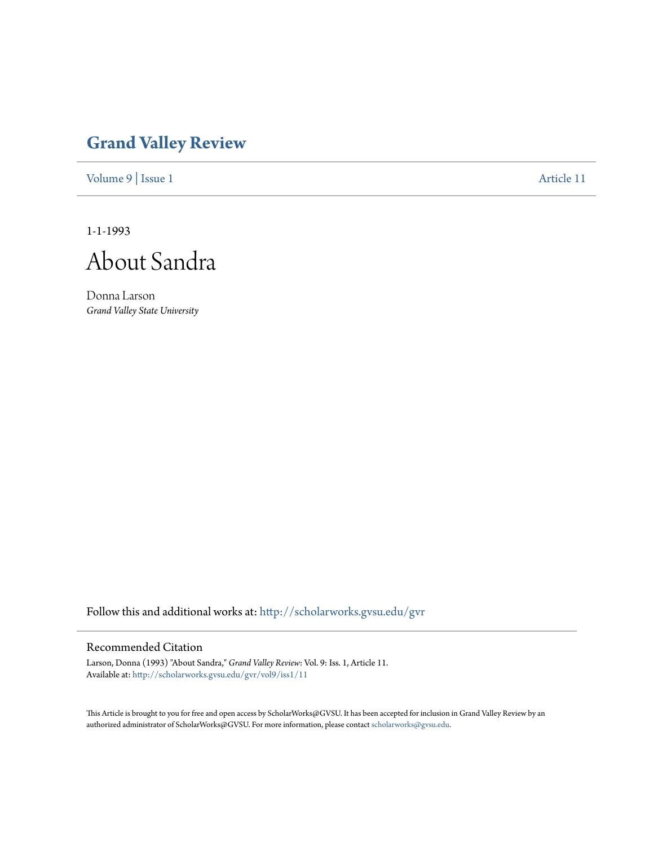## **[Grand Valley Review](http://scholarworks.gvsu.edu/gvr?utm_source=scholarworks.gvsu.edu%2Fgvr%2Fvol9%2Fiss1%2F11&utm_medium=PDF&utm_campaign=PDFCoverPages)**

[Volume 9](http://scholarworks.gvsu.edu/gvr/vol9?utm_source=scholarworks.gvsu.edu%2Fgvr%2Fvol9%2Fiss1%2F11&utm_medium=PDF&utm_campaign=PDFCoverPages) | [Issue 1](http://scholarworks.gvsu.edu/gvr/vol9/iss1?utm_source=scholarworks.gvsu.edu%2Fgvr%2Fvol9%2Fiss1%2F11&utm_medium=PDF&utm_campaign=PDFCoverPages) [Article 11](http://scholarworks.gvsu.edu/gvr/vol9/iss1/11?utm_source=scholarworks.gvsu.edu%2Fgvr%2Fvol9%2Fiss1%2F11&utm_medium=PDF&utm_campaign=PDFCoverPages)

1-1-1993

About Sandra

Donna Larson *Grand Valley State University*

Follow this and additional works at: [http://scholarworks.gvsu.edu/gvr](http://scholarworks.gvsu.edu/gvr?utm_source=scholarworks.gvsu.edu%2Fgvr%2Fvol9%2Fiss1%2F11&utm_medium=PDF&utm_campaign=PDFCoverPages)

## Recommended Citation

Larson, Donna (1993) "About Sandra," *Grand Valley Review*: Vol. 9: Iss. 1, Article 11. Available at: [http://scholarworks.gvsu.edu/gvr/vol9/iss1/11](http://scholarworks.gvsu.edu/gvr/vol9/iss1/11?utm_source=scholarworks.gvsu.edu%2Fgvr%2Fvol9%2Fiss1%2F11&utm_medium=PDF&utm_campaign=PDFCoverPages)

This Article is brought to you for free and open access by ScholarWorks@GVSU. It has been accepted for inclusion in Grand Valley Review by an authorized administrator of ScholarWorks@GVSU. For more information, please contact [scholarworks@gvsu.edu.](mailto:scholarworks@gvsu.edu)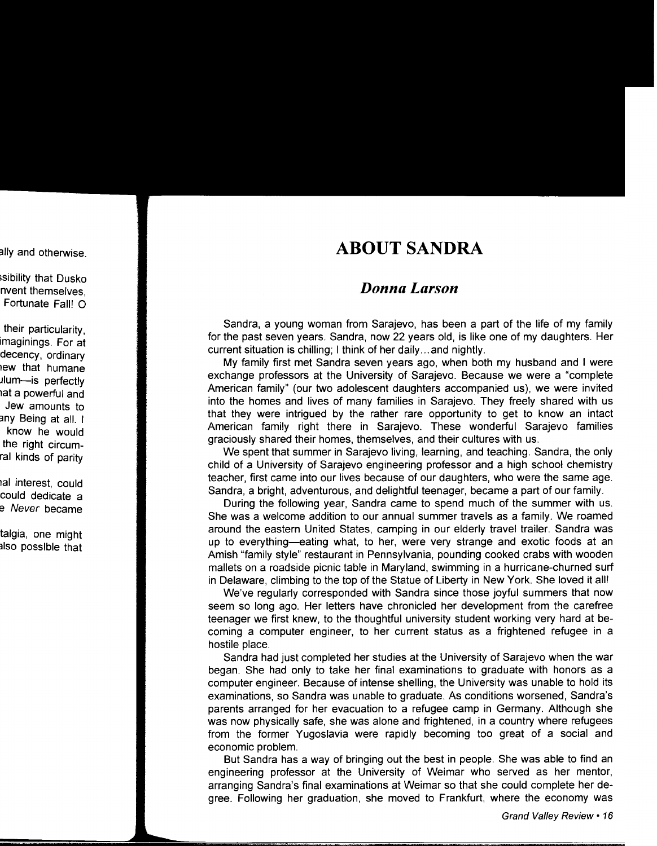## **ABOUT SANDRA**

## *Donna Larson*

Sandra, a young woman from Sarajevo, has been a part of the life of my family for the past seven years. Sandra, now 22 years old, is like one of my daughters. Her current situation is chilling; I think of her daily ... and nightly.

My family first met Sandra seven years ago, when both my husband and I were exchange professors at the University of Sarajevo. Because we were a "complete American family" (our two adolescent daughters accompanied us), we were invited into the homes and lives of many families in Sarajevo. They freely shared with us that they were intrigued by the rather rare opportunity to get to know an intact American family right there in Sarajevo. These wonderful Sarajevo families graciously shared their homes, themselves, and their cultures with us.

We spent that summer in Sarajevo living, learning, and teaching. Sandra, the only child of a University of Sarajevo engineering professor and a high school chemistry teacher, first came into our lives because of our daughters, who were the same age. Sandra, a bright, adventurous, and delightful teenager, became a part of our family.

During the following year, Sandra came to spend much of the summer with us. She was a welcome addition to our annual summer travels as a family. We roamed around the eastern United States, camping in our elderly travel trailer. Sandra was up to everything-eating what, to her, were very strange and exotic foods at an Amish "family style" restaurant in Pennsylvania, pounding cooked crabs with wooden mallets on a roadside picnic table in Maryland, swimming in a hurricane-churned surf in Delaware, climbing to the top of the Statue of Liberty in New York. She loved it all!

We've regularly corresponded with Sandra since those joyful summers that now seem so long ago. Her letters have chronicled her development from the carefree teenager we first knew, to the thoughtful university student working very hard at becoming a computer engineer, to her current status as a frightened refugee in a hostile place.

Sandra had just completed her studies at the University of Sarajevo when the war began. She had only to take her final examinations to graduate with honors as a computer engineer. Because of intense shelling, the University was unable to hold its examinations, so Sandra was unable to graduate. As conditions worsened, Sandra's parents arranged for her evacuation to a refugee camp in Germany. Although she was now physically safe, she was alone and frightened, in a country where refugees from the former Yugoslavia were rapidly becoming too great of a social and economic problem.

But Sandra has a way of bringing out the best in people. She was able to find an engineering professor at the University of Weimar who served as her mentor, arranging Sandra's final examinations at Weimar so that she could complete her degree. Following her graduation, she moved to Frankfurt, where the economy was